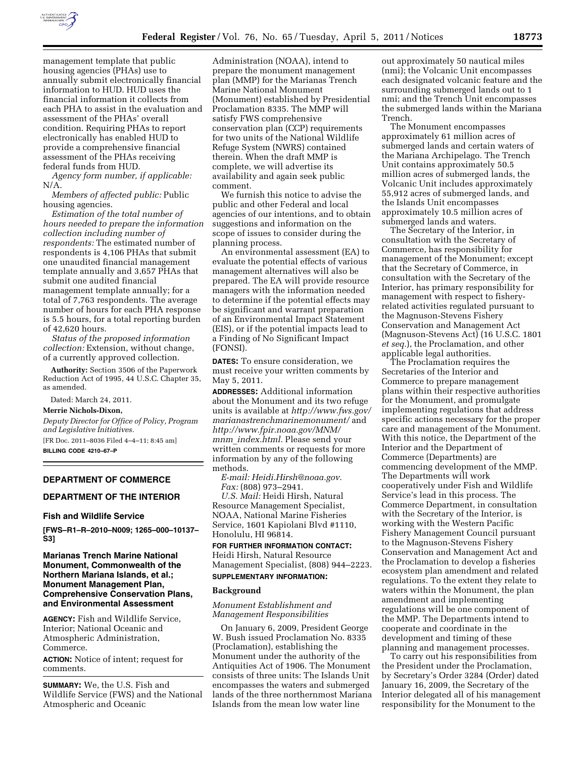

management template that public housing agencies (PHAs) use to annually submit electronically financial information to HUD. HUD uses the financial information it collects from each PHA to assist in the evaluation and assessment of the PHAs' overall condition. Requiring PHAs to report electronically has enabled HUD to provide a comprehensive financial assessment of the PHAs receiving federal funds from HUD.

*Agency form number, if applicable:*  N/A.

*Members of affected public:* Public housing agencies.

*Estimation of the total number of hours needed to prepare the information collection including number of respondents:* The estimated number of respondents is 4,106 PHAs that submit one unaudited financial management template annually and 3,657 PHAs that submit one audited financial management template annually; for a total of 7,763 respondents. The average number of hours for each PHA response is 5.5 hours, for a total reporting burden of 42,620 hours.

*Status of the proposed information collection:* Extension, without change, of a currently approved collection.

**Authority:** Section 3506 of the Paperwork Reduction Act of 1995, 44 U.S.C. Chapter 35, as amended.

Dated: March 24, 2011. **Merrie Nichols-Dixon,** 

*Deputy Director for Office of Policy, Program and Legislative Initiatives.* 

[FR Doc. 2011–8036 Filed 4–4–11; 8:45 am] **BILLING CODE 4210–67–P** 

### **DEPARTMENT OF COMMERCE**

# **DEPARTMENT OF THE INTERIOR**

### **Fish and Wildlife Service**

**[FWS–R1–R–2010–N009; 1265–000–10137– S3]** 

# **Marianas Trench Marine National Monument, Commonwealth of the Northern Mariana Islands, et al.; Monument Management Plan, Comprehensive Conservation Plans, and Environmental Assessment**

**AGENCY:** Fish and Wildlife Service, Interior; National Oceanic and Atmospheric Administration, Commerce.

**ACTION:** Notice of intent; request for comments.

**SUMMARY:** We, the U.S. Fish and Wildlife Service (FWS) and the National Atmospheric and Oceanic

Administration (NOAA), intend to prepare the monument management plan (MMP) for the Marianas Trench Marine National Monument (Monument) established by Presidential Proclamation 8335. The MMP will satisfy FWS comprehensive conservation plan (CCP) requirements for two units of the National Wildlife Refuge System (NWRS) contained therein. When the draft MMP is complete, we will advertise its availability and again seek public comment.

We furnish this notice to advise the public and other Federal and local agencies of our intentions, and to obtain suggestions and information on the scope of issues to consider during the planning process.

An environmental assessment (EA) to evaluate the potential effects of various management alternatives will also be prepared. The EA will provide resource managers with the information needed to determine if the potential effects may be significant and warrant preparation of an Environmental Impact Statement (EIS), or if the potential impacts lead to a Finding of No Significant Impact (FONSI).

**DATES:** To ensure consideration, we must receive your written comments by May 5, 2011.

**ADDRESSES:** Additional information about the Monument and its two refuge units is available at *[http://www.fws.gov/](http://www.fws.gov/marianastrenchmarinemonument/)  [marianastrenchmarinemonument/](http://www.fws.gov/marianastrenchmarinemonument/)* and *[http://www.fpir.noaa.gov/MNM/](http://www.fpir.noaa.gov/MNM/mnm_index.html) mnm*\_*[index.html.](http://www.fpir.noaa.gov/MNM/mnm_index.html)* Please send your written comments or requests for more information by any of the following methods.

*E-mail: [Heidi.Hirsh@noaa.gov](mailto:Heidi.Hirsh@noaa.gov)*. *Fax:* (808) 973–2941.

*U.S. Mail:* Heidi Hirsh, Natural Resource Management Specialist, NOAA, National Marine Fisheries Service, 1601 Kapiolani Blvd #1110, Honolulu, HI 96814.

# **FOR FURTHER INFORMATION CONTACT:**  Heidi Hirsh, Natural Resource Management Specialist, (808) 944–2223.

#### **SUPPLEMENTARY INFORMATION:**

### **Background**

### *Monument Establishment and Management Responsibilities*

On January 6, 2009, President George W. Bush issued Proclamation No. 8335 (Proclamation), establishing the Monument under the authority of the Antiquities Act of 1906. The Monument consists of three units: The Islands Unit encompasses the waters and submerged lands of the three northernmost Mariana Islands from the mean low water line

out approximately 50 nautical miles (nmi); the Volcanic Unit encompasses each designated volcanic feature and the surrounding submerged lands out to 1 nmi; and the Trench Unit encompasses the submerged lands within the Mariana Trench.

The Monument encompasses approximately 61 million acres of submerged lands and certain waters of the Mariana Archipelago. The Trench Unit contains approximately 50.5 million acres of submerged lands, the Volcanic Unit includes approximately 55,912 acres of submerged lands, and the Islands Unit encompasses approximately 10.5 million acres of submerged lands and waters.

The Secretary of the Interior, in consultation with the Secretary of Commerce, has responsibility for management of the Monument; except that the Secretary of Commerce, in consultation with the Secretary of the Interior, has primary responsibility for management with respect to fisheryrelated activities regulated pursuant to the Magnuson-Stevens Fishery Conservation and Management Act (Magnuson-Stevens Act) (16 U.S.C. 1801 *et seq.*), the Proclamation, and other applicable legal authorities.

The Proclamation requires the Secretaries of the Interior and Commerce to prepare management plans within their respective authorities for the Monument, and promulgate implementing regulations that address specific actions necessary for the proper care and management of the Monument. With this notice, the Department of the Interior and the Department of Commerce (Departments) are commencing development of the MMP. The Departments will work cooperatively under Fish and Wildlife Service's lead in this process. The Commerce Department, in consultation with the Secretary of the Interior, is working with the Western Pacific Fishery Management Council pursuant to the Magnuson-Stevens Fishery Conservation and Management Act and the Proclamation to develop a fisheries ecosystem plan amendment and related regulations. To the extent they relate to waters within the Monument, the plan amendment and implementing regulations will be one component of the MMP. The Departments intend to cooperate and coordinate in the development and timing of these planning and management processes.

To carry out his responsibilities from the President under the Proclamation, by Secretary's Order 3284 (Order) dated January 16, 2009, the Secretary of the Interior delegated all of his management responsibility for the Monument to the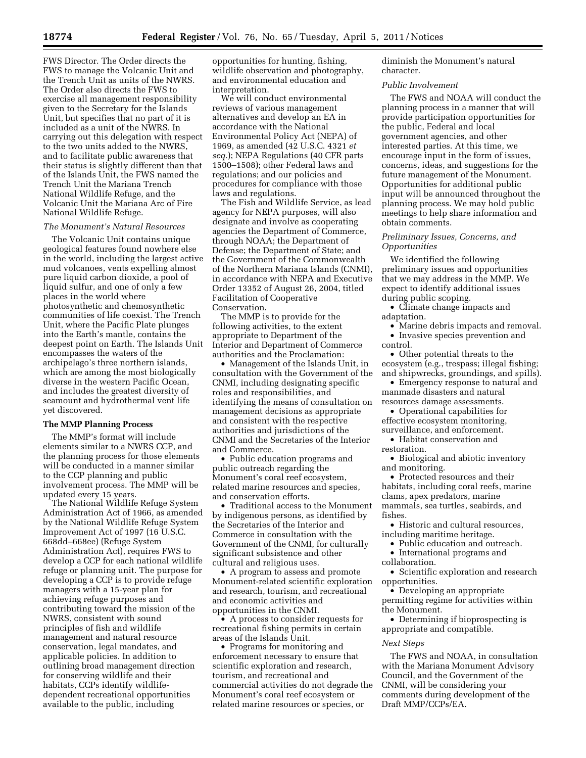FWS Director. The Order directs the FWS to manage the Volcanic Unit and the Trench Unit as units of the NWRS. The Order also directs the FWS to exercise all management responsibility given to the Secretary for the Islands Unit, but specifies that no part of it is included as a unit of the NWRS. In carrying out this delegation with respect to the two units added to the NWRS, and to facilitate public awareness that their status is slightly different than that of the Islands Unit, the FWS named the Trench Unit the Mariana Trench National Wildlife Refuge, and the Volcanic Unit the Mariana Arc of Fire National Wildlife Refuge.

### *The Monument's Natural Resources*

The Volcanic Unit contains unique geological features found nowhere else in the world, including the largest active mud volcanoes, vents expelling almost pure liquid carbon dioxide, a pool of liquid sulfur, and one of only a few places in the world where photosynthetic and chemosynthetic communities of life coexist. The Trench Unit, where the Pacific Plate plunges into the Earth's mantle, contains the deepest point on Earth. The Islands Unit encompasses the waters of the archipelago's three northern islands, which are among the most biologically diverse in the western Pacific Ocean, and includes the greatest diversity of seamount and hydrothermal vent life yet discovered.

#### **The MMP Planning Process**

The MMP's format will include elements similar to a NWRS CCP, and the planning process for those elements will be conducted in a manner similar to the CCP planning and public involvement process. The MMP will be updated every 15 years.

The National Wildlife Refuge System Administration Act of 1966, as amended by the National Wildlife Refuge System Improvement Act of 1997 (16 U.S.C. 668dd–668ee) (Refuge System Administration Act), requires FWS to develop a CCP for each national wildlife refuge or planning unit. The purpose for developing a CCP is to provide refuge managers with a 15-year plan for achieving refuge purposes and contributing toward the mission of the NWRS, consistent with sound principles of fish and wildlife management and natural resource conservation, legal mandates, and applicable policies. In addition to outlining broad management direction for conserving wildlife and their habitats, CCPs identify wildlifedependent recreational opportunities available to the public, including

opportunities for hunting, fishing, wildlife observation and photography, and environmental education and interpretation.

We will conduct environmental reviews of various management alternatives and develop an EA in accordance with the National Environmental Policy Act (NEPA) of 1969, as amended (42 U.S.C. 4321 *et seq.*); NEPA Regulations (40 CFR parts 1500–1508); other Federal laws and regulations; and our policies and procedures for compliance with those laws and regulations.

The Fish and Wildlife Service, as lead agency for NEPA purposes, will also designate and involve as cooperating agencies the Department of Commerce, through NOAA; the Department of Defense; the Department of State; and the Government of the Commonwealth of the Northern Mariana Islands (CNMI), in accordance with NEPA and Executive Order 13352 of August 26, 2004, titled Facilitation of Cooperative Conservation.

The MMP is to provide for the following activities, to the extent appropriate to Department of the Interior and Department of Commerce authorities and the Proclamation:

• Management of the Islands Unit, in consultation with the Government of the CNMI, including designating specific roles and responsibilities, and identifying the means of consultation on management decisions as appropriate and consistent with the respective authorities and jurisdictions of the CNMI and the Secretaries of the Interior and Commerce.

• Public education programs and public outreach regarding the Monument's coral reef ecosystem, related marine resources and species, and conservation efforts.

• Traditional access to the Monument by indigenous persons, as identified by the Secretaries of the Interior and Commerce in consultation with the Government of the CNMI, for culturally significant subsistence and other cultural and religious uses.

• A program to assess and promote Monument-related scientific exploration and research, tourism, and recreational and economic activities and opportunities in the CNMI.

• A process to consider requests for recreational fishing permits in certain areas of the Islands Unit.

• Programs for monitoring and enforcement necessary to ensure that scientific exploration and research, tourism, and recreational and commercial activities do not degrade the Monument's coral reef ecosystem or related marine resources or species, or

diminish the Monument's natural character.

#### *Public Involvement*

The FWS and NOAA will conduct the planning process in a manner that will provide participation opportunities for the public, Federal and local government agencies, and other interested parties. At this time, we encourage input in the form of issues, concerns, ideas, and suggestions for the future management of the Monument. Opportunities for additional public input will be announced throughout the planning process. We may hold public meetings to help share information and obtain comments.

## *Preliminary Issues, Concerns, and Opportunities*

We identified the following preliminary issues and opportunities that we may address in the MMP. We expect to identify additional issues during public scoping.

• Climate change impacts and adaptation.

- Marine debris impacts and removal.
- Invasive species prevention and control.

• Other potential threats to the ecosystem (e.g., trespass; illegal fishing; and shipwrecks, groundings, and spills).

• Emergency response to natural and manmade disasters and natural resources damage assessments.

• Operational capabilities for effective ecosystem monitoring,

surveillance, and enforcement.

• Habitat conservation and restoration.

• Biological and abiotic inventory and monitoring.

• Protected resources and their habitats, including coral reefs, marine clams, apex predators, marine mammals, sea turtles, seabirds, and fishes.

• Historic and cultural resources, including maritime heritage.

• Public education and outreach. • International programs and

collaboration.

• Scientific exploration and research opportunities.

• Developing an appropriate permitting regime for activities within the Monument.

• Determining if bioprospecting is appropriate and compatible.

#### *Next Steps*

The FWS and NOAA, in consultation with the Mariana Monument Advisory Council, and the Government of the CNMI, will be considering your comments during development of the Draft MMP/CCPs/EA.